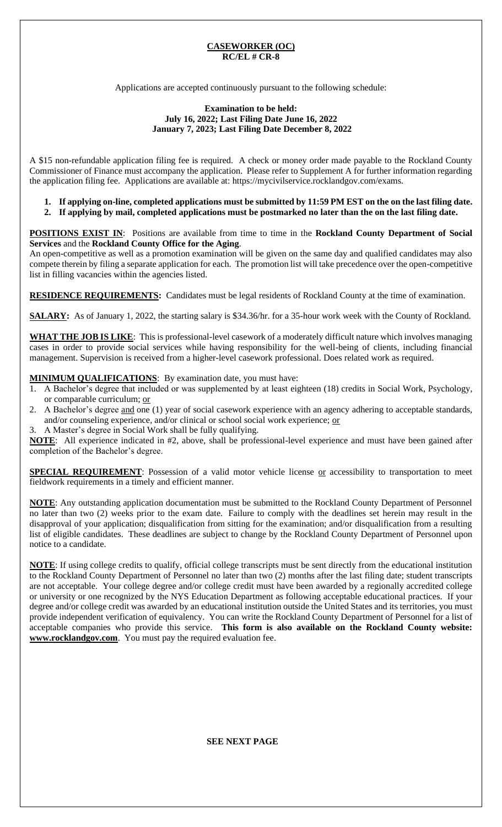### **CASEWORKER (OC) RC/EL # CR-8**

Applications are accepted continuously pursuant to the following schedule:

### **Examination to be held: July 16, 2022; Last Filing Date June 16, 2022 January 7, 2023; Last Filing Date December 8, 2022**

A \$15 non-refundable application filing fee is required. A check or money order made payable to the Rockland County Commissioner of Finance must accompany the application. Please refer to Supplement A for further information regarding the application filing fee. Applications are available at: https://mycivilservice.rocklandgov.com/exams.

- **1. If applying on-line, completed applications must be submitted by 11:59 PM EST on the on the last filing date.**
- **2. If applying by mail, completed applications must be postmarked no later than the on the last filing date.**

**POSITIONS EXIST IN**:Positions are available from time to time in the **Rockland County Department of Social Services** and the **Rockland County Office for the Aging**.

An open-competitive as well as a promotion examination will be given on the same day and qualified candidates may also compete therein by filing a separate application for each. The promotion list will take precedence over the open-competitive list in filling vacancies within the agencies listed.

**RESIDENCE REQUIREMENTS:** Candidates must be legal residents of Rockland County at the time of examination.

**SALARY:** As of January 1, 2022, the starting salary is \$34.36/hr. for a 35-hour work week with the County of Rockland.

**WHAT THE JOB IS LIKE**:This is professional-level casework of a moderately difficult nature which involves managing cases in order to provide social services while having responsibility for the well-being of clients, including financial management. Supervision is received from a higher-level casework professional. Does related work as required.

**MINIMUM QUALIFICATIONS**: By examination date, you must have:

- 1. A Bachelor's degree that included or was supplemented by at least eighteen (18) credits in Social Work, Psychology, or comparable curriculum; or
- 2. A Bachelor's degree and one (1) year of social casework experience with an agency adhering to acceptable standards, and/or counseling experience, and/or clinical or school social work experience; or
- 3. A Master's degree in Social Work shall be fully qualifying.

**NOTE**: All experience indicated in #2, above, shall be professional-level experience and must have been gained after completion of the Bachelor's degree.

**SPECIAL REQUIREMENT**: Possession of a valid motor vehicle license or accessibility to transportation to meet fieldwork requirements in a timely and efficient manner.

**NOTE**: Any outstanding application documentation must be submitted to the Rockland County Department of Personnel no later than two (2) weeks prior to the exam date. Failure to comply with the deadlines set herein may result in the disapproval of your application; disqualification from sitting for the examination; and/or disqualification from a resulting list of eligible candidates. These deadlines are subject to change by the Rockland County Department of Personnel upon notice to a candidate.

**NOTE**: If using college credits to qualify, official college transcripts must be sent directly from the educational institution to the Rockland County Department of Personnel no later than two (2) months after the last filing date; student transcripts are not acceptable. Your college degree and/or college credit must have been awarded by a regionally accredited college or university or one recognized by the NYS Education Department as following acceptable educational practices. If your degree and/or college credit was awarded by an educational institution outside the United States and its territories, you must provide independent verification of equivalency. You can write the Rockland County Department of Personnel for a list of acceptable companies who provide this service. **This form is also available on the Rockland County website: www.rocklandgov.com**.You must pay the required evaluation fee.

**SEE NEXT PAGE**